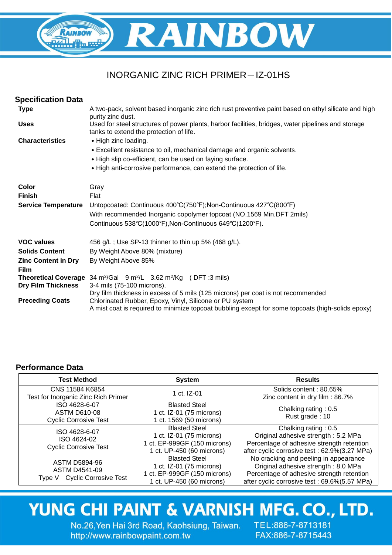

### INORGANIC ZINC RICH PRIMER-IZ-01HS

| <b>Specification Data</b>  |                                                                                                                                               |
|----------------------------|-----------------------------------------------------------------------------------------------------------------------------------------------|
| <b>Type</b>                | A two-pack, solvent based inorganic zinc rich rust preventive paint based on ethyl silicate and high<br>purity zinc dust.                     |
| <b>Uses</b>                | Used for steel structures of power plants, harbor facilities, bridges, water pipelines and storage<br>tanks to extend the protection of life. |
| <b>Characteristics</b>     | • High zinc loading.                                                                                                                          |
|                            | • Excellent resistance to oil, mechanical damage and organic solvents.                                                                        |
|                            | • High slip co-efficient, can be used on faying surface.                                                                                      |
|                            | • High anti-corrosive performance, can extend the protection of life.                                                                         |
| Color                      | Gray                                                                                                                                          |
| <b>Finish</b>              | Flat                                                                                                                                          |
| <b>Service Temperature</b> | Untopcoated: Continuous 400°C(750°F); Non-Continuous 427°C(800°F)                                                                             |
|                            | With recommended Inorganic copolymer topcoat (NO.1569 Min.DFT 2mils)                                                                          |
|                            | Continuous 538°C(1000°F), Non-Continuous 649°C(1200°F).                                                                                       |
| <b>VOC values</b>          | 456 g/L; Use SP-13 thinner to thin up 5% (468 g/L).                                                                                           |
| <b>Solids Content</b>      | By Weight Above 80% (mixture)                                                                                                                 |
| <b>Zinc Content in Dry</b> | By Weight Above 85%                                                                                                                           |
| Film                       |                                                                                                                                               |
|                            | <b>Theoretical Coverage</b> 34 $m^2/G$ al 9 $m^2/L$ 3.62 $m^2/Kg$ (DFT :3 mils)                                                               |
| <b>Dry Film Thickness</b>  | 3-4 mils (75-100 microns).<br>Dry film thickness in excess of 5 mils (125 microns) per coat is not recommended                                |
| <b>Preceding Coats</b>     | Chlorinated Rubber, Epoxy, Vinyl, Silicone or PU system                                                                                       |
|                            | A mist coat is required to minimize topcoat bubbling except for some topcoats (high-solids epoxy)                                             |

#### **Performance Data**

| <b>Test Method</b>                                                                     | <b>System</b>                                                                                                 | <b>Results</b>                                                                                                                                                             |
|----------------------------------------------------------------------------------------|---------------------------------------------------------------------------------------------------------------|----------------------------------------------------------------------------------------------------------------------------------------------------------------------------|
| CNS 11584 K6854<br>Test for Inorganic Zinc Rich Primer                                 | 1 ct. IZ-01                                                                                                   | Solids content: 80.65%<br>Zinc content in dry film: 86.7%                                                                                                                  |
| ISO 4628-6-07<br><b>ASTM D610-08</b><br><b>Cyclic Corrosive Test</b>                   | <b>Blasted Steel</b><br>1 ct. IZ-01 (75 microns)<br>1 ct. 1569 (50 microns)                                   | Chalking rating: 0.5<br>Rust grade: 10                                                                                                                                     |
| ISO 4628-6-07<br>ISO 4624-02<br><b>Cyclic Corrosive Test</b>                           | <b>Blasted Steel</b><br>1 ct. IZ-01 (75 microns)<br>1 ct. EP-999GF (150 microns)<br>1 ct. UP-450 (60 microns) | Chalking rating: 0.5<br>Original adhesive strength: 5.2 MPa<br>Percentage of adhesive strength retention<br>after cyclic corrosive test : 62.9%(3.27 MPa)                  |
| <b>ASTM D5894-96</b><br><b>ASTM D4541-09</b><br><b>Cyclic Corrosive Test</b><br>Type V | <b>Blasted Steel</b><br>1 ct. IZ-01 (75 microns)<br>1 ct. EP-999GF (150 microns)<br>1 ct. UP-450 (60 microns) | No cracking and peeling in appearance<br>Original adhesive strength: 8.0 MPa<br>Percentage of adhesive strength retention<br>after cyclic corrosive test : 69.6%(5.57 MPa) |

## YUNG CHI PAINT & VARNISH MFG. CO., LTD.

No.26, Yen Hai 3rd Road, Kaohsiung, Taiwan. TEL:886-7-8713181 http://www.rainbowpaint.com.tw

FAX:886-7-8715443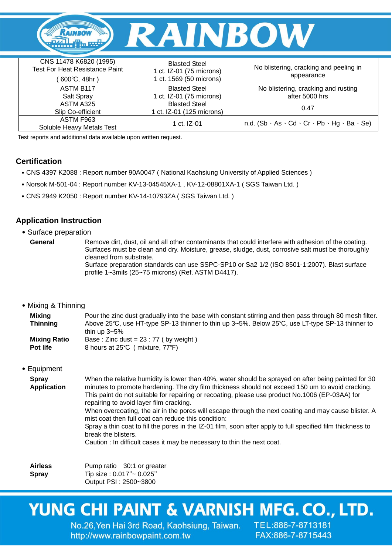

| CNS 11478 K6820 (1995)<br><b>Test For Heat Resistance Paint</b><br>$600^{\circ}$ C, 48hr ) | <b>Blasted Steel</b><br>1 ct. IZ-01 (75 microns)<br>1 ct. 1569 (50 microns) | No blistering, cracking and peeling in<br>appearance                       |
|--------------------------------------------------------------------------------------------|-----------------------------------------------------------------------------|----------------------------------------------------------------------------|
| <b>ASTM B117</b><br>Salt Spray                                                             | <b>Blasted Steel</b><br>1 ct. IZ-01 (75 microns)                            | No blistering, cracking and rusting<br>after 5000 hrs                      |
| ASTM A325<br>Slip Co-efficient                                                             | <b>Blasted Steel</b><br>1 ct. IZ-01 (125 microns)                           | 0.47                                                                       |
| ASTM F963<br>Soluble Heavy Metals Test                                                     | 1 ct. IZ-01                                                                 | n.d. $(Sb \cdot As \cdot Cd \cdot Cr \cdot Pb \cdot Hg \cdot Ba \cdot Se)$ |

Test reports and additional data available upon written request.

#### **Certification**

- ˙CNS 4397 K2088 : Report number 90A0047 ( National Kaohsiung University of Applied Sciences )
- ˙Norsok M-501-04 : Report number KV-13-04545XA-1 , KV-12-08801XA-1 ( SGS Taiwan Ltd. )
- ˙CNS 2949 K2050 : Report number KV-14-10793ZA ( SGS Taiwan Ltd. )

#### **Application Instruction**

˙Surface preparation

**General** Remove dirt, dust, oil and all other contaminants that could interfere with adhesion of the coating. Surfaces must be clean and dry. Moisture, grease, sludge, dust, corrosive salt must be thoroughly cleaned from substrate. Surface preparation standards can use SSPC-SP10 or Sa2 1/2 (ISO 8501-1:2007). Blast surface profile 1~3mils (25~75 microns) (Ref. ASTM D4417).

#### ˙Mixing & Thinning

| Mixing              | Pour the zinc dust gradually into the base with constant stirring and then pass through 80 mesh filter. |
|---------------------|---------------------------------------------------------------------------------------------------------|
| <b>Thinning</b>     | Above 25°C, use HT-type SP-13 thinner to thin up 3~5%. Below 25°C, use LT-type SP-13 thinner to         |
|                     | thin up $3\negthinspace\negthinspace\negthinspace 5\%$                                                  |
| <b>Mixing Ratio</b> | Base: Zinc dust = $23:77$ (by weight)                                                                   |
| <b>Pot life</b>     | 8 hours at 25°C (mixture, 77°F)                                                                         |

#### ˙Equipment

| <b>Spray</b><br><b>Application</b> | When the relative humidity is lower than 40%, water should be sprayed on after being painted for 30<br>minutes to promote hardening. The dry film thickness should not exceed 150 um to avoid cracking.<br>This paint do not suitable for repairing or recoating, please use product No.1006 (EP-03AA) for<br>repairing to avoid layer film cracking. |
|------------------------------------|-------------------------------------------------------------------------------------------------------------------------------------------------------------------------------------------------------------------------------------------------------------------------------------------------------------------------------------------------------|
|                                    | When overcoating, the air in the pores will escape through the next coating and may cause blister. A<br>mist coat then full coat can reduce this condition:                                                                                                                                                                                           |
|                                    | Spray a thin coat to fill the pores in the IZ-01 film, soon after apply to full specified film thickness to<br>break the blisters.                                                                                                                                                                                                                    |
|                                    | Caution: In difficult cases it may be necessary to thin the next coat.                                                                                                                                                                                                                                                                                |

**Airless Spray**

Pump ratio 30:1 or greater Tip size : 0.017"~ 0.025" Output PSI : 2500~3800

# YUNG CHI PAINT & VARNISH MFG. CO., LTD.

No.26, Yen Hai 3rd Road, Kaohsiung, Taiwan. TEL:886-7-8713181 http://www.rainbowpaint.com.tw

FAX:886-7-8715443